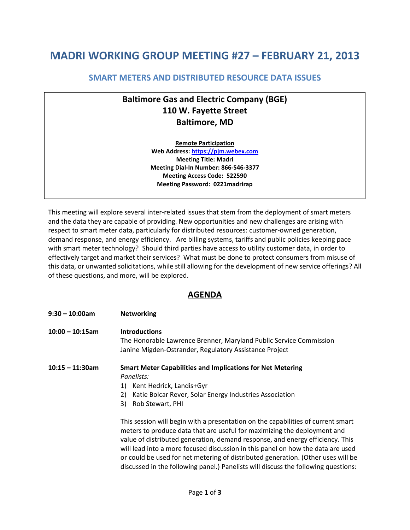## **MADRI WORKING GROUP MEETING #27 – FEBRUARY 21, 2013**

## **SMART METERS AND DISTRIBUTED RESOURCE DATA ISSUES**

## **Baltimore Gas and Electric Company (BGE) 110 W. Fayette Street Baltimore, MD**

**Remote Participation Web Address: [https://pjm.webex.com](https://pjm.webex.com/)  Meeting Title: Madri Meeting Dial-In Number: 866-546-3377 Meeting Access Code: 522590 Meeting Password: 0221madrirap** 

This meeting will explore several inter-related issues that stem from the deployment of smart meters and the data they are capable of providing. New opportunities and new challenges are arising with respect to smart meter data, particularly for distributed resources: customer-owned generation, demand response, and energy efficiency. Are billing systems, tariffs and public policies keeping pace with smart meter technology? Should third parties have access to utility customer data, in order to effectively target and market their services? What must be done to protect consumers from misuse of this data, or unwanted solicitations, while still allowing for the development of new service offerings? All of these questions, and more, will be explored.

## **AGENDA**

| 9:30 - 10:00am     | <b>Networking</b>                                                                                                                                                                                                                                                                                                                                                                                                    |
|--------------------|----------------------------------------------------------------------------------------------------------------------------------------------------------------------------------------------------------------------------------------------------------------------------------------------------------------------------------------------------------------------------------------------------------------------|
| $10:00 - 10:15$ am | <b>Introductions</b><br>The Honorable Lawrence Brenner, Maryland Public Service Commission                                                                                                                                                                                                                                                                                                                           |
|                    | Janine Migden-Ostrander, Regulatory Assistance Project                                                                                                                                                                                                                                                                                                                                                               |
| 10:15 - 11:30am    | <b>Smart Meter Capabilities and Implications for Net Metering</b><br>Panelists:                                                                                                                                                                                                                                                                                                                                      |
|                    | Kent Hedrick, Landis+Gyr<br>1)                                                                                                                                                                                                                                                                                                                                                                                       |
|                    | Katie Bolcar Rever, Solar Energy Industries Association<br>2)                                                                                                                                                                                                                                                                                                                                                        |
|                    | Rob Stewart, PHI<br>3)                                                                                                                                                                                                                                                                                                                                                                                               |
|                    | This session will begin with a presentation on the capabilities of current smart<br>meters to produce data that are useful for maximizing the deployment and<br>value of distributed generation, demand response, and energy efficiency. This<br>will lead into a more focused discussion in this panel on how the data are used<br>or could be used for net metering of distributed generation. (Other uses will be |

discussed in the following panel.) Panelists will discuss the following questions: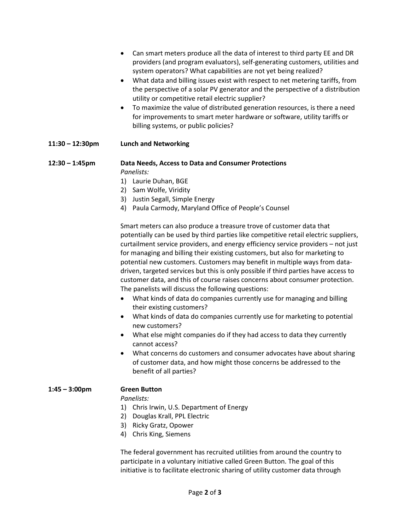|                    | Can smart meters produce all the data of interest to third party EE and DR<br>providers (and program evaluators), self-generating customers, utilities and<br>system operators? What capabilities are not yet being realized?<br>What data and billing issues exist with respect to net metering tariffs, from<br>$\bullet$<br>the perspective of a solar PV generator and the perspective of a distribution<br>utility or competitive retail electric supplier?<br>To maximize the value of distributed generation resources, is there a need<br>$\bullet$<br>for improvements to smart meter hardware or software, utility tariffs or<br>billing systems, or public policies?                                                                                                                                                                                                                                                                                                                                                                                                                                                                   |
|--------------------|---------------------------------------------------------------------------------------------------------------------------------------------------------------------------------------------------------------------------------------------------------------------------------------------------------------------------------------------------------------------------------------------------------------------------------------------------------------------------------------------------------------------------------------------------------------------------------------------------------------------------------------------------------------------------------------------------------------------------------------------------------------------------------------------------------------------------------------------------------------------------------------------------------------------------------------------------------------------------------------------------------------------------------------------------------------------------------------------------------------------------------------------------|
| $11:30 - 12:30$ pm | <b>Lunch and Networking</b>                                                                                                                                                                                                                                                                                                                                                                                                                                                                                                                                                                                                                                                                                                                                                                                                                                                                                                                                                                                                                                                                                                                       |
| $12:30 - 1:45$ pm  | Data Needs, Access to Data and Consumer Protections<br>Panelists:<br>1) Laurie Duhan, BGE<br>2) Sam Wolfe, Viridity<br>3) Justin Segall, Simple Energy<br>4) Paula Carmody, Maryland Office of People's Counsel                                                                                                                                                                                                                                                                                                                                                                                                                                                                                                                                                                                                                                                                                                                                                                                                                                                                                                                                   |
|                    | Smart meters can also produce a treasure trove of customer data that<br>potentially can be used by third parties like competitive retail electric suppliers,<br>curtailment service providers, and energy efficiency service providers - not just<br>for managing and billing their existing customers, but also for marketing to<br>potential new customers. Customers may benefit in multiple ways from data-<br>driven, targeted services but this is only possible if third parties have access to<br>customer data, and this of course raises concerns about consumer protection.<br>The panelists will discuss the following questions:<br>What kinds of data do companies currently use for managing and billing<br>$\bullet$<br>their existing customers?<br>What kinds of data do companies currently use for marketing to potential<br>$\bullet$<br>new customers?<br>What else might companies do if they had access to data they currently<br>cannot access?<br>What concerns do customers and consumer advocates have about sharing<br>of customer data, and how might those concerns be addressed to the<br>benefit of all parties? |
| $1:45 - 3:00$ pm   | <b>Green Button</b><br>Panelists:<br>1) Chris Irwin, U.S. Department of Energy<br>Douglas Krall, PPL Electric<br>2)<br>3) Ricky Gratz, Opower<br>4) Chris King, Siemens                                                                                                                                                                                                                                                                                                                                                                                                                                                                                                                                                                                                                                                                                                                                                                                                                                                                                                                                                                           |
|                    | The federal government has recruited utilities from around the country to<br>participate in a voluntary initiative called Green Button. The goal of this<br>initiative is to facilitate electronic sharing of utility customer data through                                                                                                                                                                                                                                                                                                                                                                                                                                                                                                                                                                                                                                                                                                                                                                                                                                                                                                       |